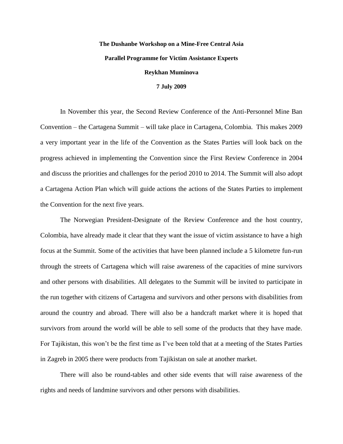## **The Dushanbe Workshop on a Mine-Free Central Asia Parallel Programme for Victim Assistance Experts Reykhan Muminova**

## **7 July 2009**

In November this year, the Second Review Conference of the Anti-Personnel Mine Ban Convention – the Cartagena Summit – will take place in Cartagena, Colombia. This makes 2009 a very important year in the life of the Convention as the States Parties will look back on the progress achieved in implementing the Convention since the First Review Conference in 2004 and discuss the priorities and challenges for the period 2010 to 2014. The Summit will also adopt a Cartagena Action Plan which will guide actions the actions of the States Parties to implement the Convention for the next five years.

The Norwegian President-Designate of the Review Conference and the host country, Colombia, have already made it clear that they want the issue of victim assistance to have a high focus at the Summit. Some of the activities that have been planned include a 5 kilometre fun-run through the streets of Cartagena which will raise awareness of the capacities of mine survivors and other persons with disabilities. All delegates to the Summit will be invited to participate in the run together with citizens of Cartagena and survivors and other persons with disabilities from around the country and abroad. There will also be a handcraft market where it is hoped that survivors from around the world will be able to sell some of the products that they have made. For Tajikistan, this won't be the first time as I've been told that at a meeting of the States Parties in Zagreb in 2005 there were products from Tajikistan on sale at another market.

There will also be round-tables and other side events that will raise awareness of the rights and needs of landmine survivors and other persons with disabilities.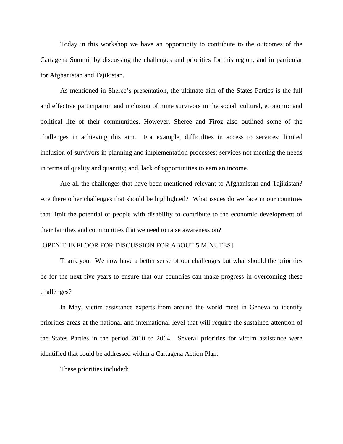Today in this workshop we have an opportunity to contribute to the outcomes of the Cartagena Summit by discussing the challenges and priorities for this region, and in particular for Afghanistan and Tajikistan.

As mentioned in Sheree's presentation, the ultimate aim of the States Parties is the full and effective participation and inclusion of mine survivors in the social, cultural, economic and political life of their communities. However, Sheree and Firoz also outlined some of the challenges in achieving this aim. For example, difficulties in access to services; limited inclusion of survivors in planning and implementation processes; services not meeting the needs in terms of quality and quantity; and, lack of opportunities to earn an income.

Are all the challenges that have been mentioned relevant to Afghanistan and Tajikistan? Are there other challenges that should be highlighted? What issues do we face in our countries that limit the potential of people with disability to contribute to the economic development of their families and communities that we need to raise awareness on?

## [OPEN THE FLOOR FOR DISCUSSION FOR ABOUT 5 MINUTES]

Thank you. We now have a better sense of our challenges but what should the priorities be for the next five years to ensure that our countries can make progress in overcoming these challenges?

In May, victim assistance experts from around the world meet in Geneva to identify priorities areas at the national and international level that will require the sustained attention of the States Parties in the period 2010 to 2014. Several priorities for victim assistance were identified that could be addressed within a Cartagena Action Plan.

These priorities included: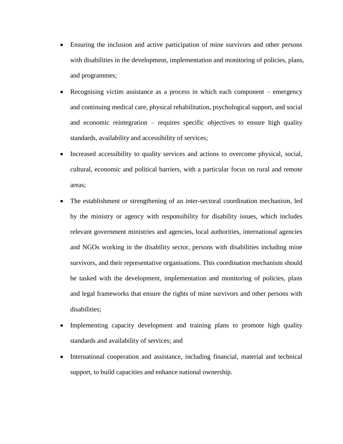- Ensuring the inclusion and active participation of mine survivors and other persons with disabilities in the development, implementation and monitoring of policies, plans, and programmes;
- Recognising victim assistance as a process in which each component emergency and continuing medical care, physical rehabilitation, psychological support, and social and economic reintegration – requires specific objectives to ensure high quality standards, availability and accessibility of services;
- Increased accessibility to quality services and actions to overcome physical, social, cultural, economic and political barriers, with a particular focus on rural and remote areas;
- The establishment or strengthening of an inter-sectoral coordination mechanism, led by the ministry or agency with responsibility for disability issues, which includes relevant government ministries and agencies, local authorities, international agencies and NGOs working in the disability sector, persons with disabilities including mine survivors, and their representative organisations. This coordination mechanism should be tasked with the development, implementation and monitoring of policies, plans and legal frameworks that ensure the rights of mine survivors and other persons with disabilities;
- Implementing capacity development and training plans to promote high quality standards and availability of services; and
- International cooperation and assistance, including financial, material and technical support, to build capacities and enhance national ownership.